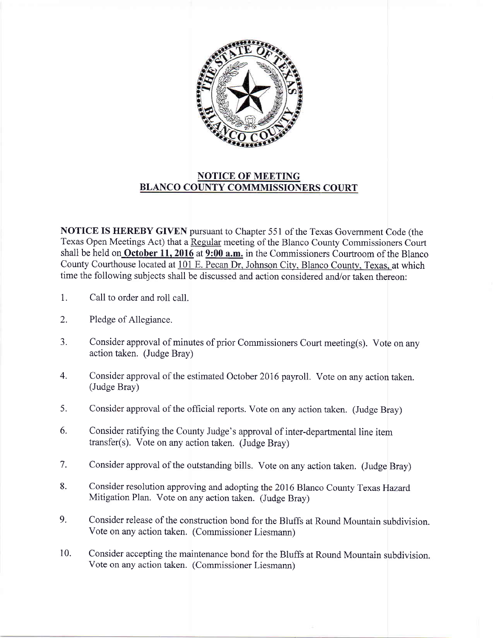

## NOTICE OF MEETING BLANCO COUNTY COMMMISSIONERS COURT

NOTICE IS HEREBY GIVEN pursuant to Chapter 551 of the Texas Government Code (the Texas Open Meetings Act) that a Regular meeting of the Blanco County Commissioners Court shall be held on October 11, 2016 at 9:00  $a.m.$  in the Commissioners Courtroom of the Blanco County Courthouse located at 101 E. Pecan Dr. Johnson City, Blanco County, Texas, at which time the following subjects shall be discussed and action considered and/or taken thereon:

- Call to order and roll call. 1 I.
- Pledge of Allegiance. 2.
- Consider approval of minutes of prior Commissioners Court meeting(s). Vote on any action taken. (Judge Bray) 3.
- Consider approval of the estimated October 2076 payroll. Vote on any action taken. (Judge Bray) 4.
- Consider approval of the official reports. Vote on any action taken. (Judge Bray) 5.
- Consider ratifying the County Judge's approval of inter-departmental line item transfer(s). Vote on any action taken. (Judge Bray) 6.
- Consider approval of the outstanding bills. Vote on any action taken. (Judge Bray) 7.
- Consider resolution approving and adopting the 2016 Blanco County Texas Hazard Mitigation Plan. Vote on any action taken. (Judge Bray) 8.
- Consider release of the construction bond for the Bluffs at Round Mountain subdivision. Vote on any action taken. (Commissioner Liesmann) 9.
- Consider accepting the maintenance bond for the Bluffs at Round Mountain subdivision. Vote on any action taken. (Commissioner Liesmann) 10.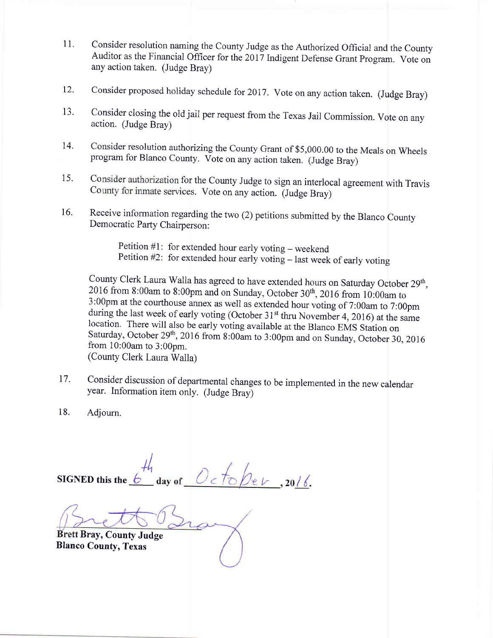- 11. Consider resolution naming the County Judge as the Authorized Official and the County Auditor as the Financial Officer for the 2017 Indigent Defense Grant program. Vote on any action taken. (Judge Bray)
- 12. Consider proposed holiday schedule for 2017. Vote on any action taken. (Judge Bray)
- 13. Consider closing the old jail per request from the Texas Jail Commission. Vote on any action. (Judge Bray)
- 14. Consider resolution authorizing the County Grant of \$5,000.00 to the Meals on Wheels program for Blanco County. Vote on any action taken. (Judge Bray)
- 15. Consider authorization for the County Judge to sign an interlocal agreement with Travis County for inmate services. Vote on any action. (Judge Bray)
- 16. Receive information regarding the two (2) petitions submitted by the Blanco County Democratic Party Chairperson:

Petition  $#1$ : for extended hour early voting – weekend Petition  $#2$ : for extended hour early voting  $-$  last week of early voting

County Clerk Laura Walla has agreed to have extended hours on Saturday October 29<sup>th</sup>, 2016 from 8:00am to 8:00pm and on Sunday, October 30<sup>th</sup>, 2016 from 10:00am to 3:00pm at the courthouse annex as well as extended hour voting of 7:00am to 7:00pm during the last week of early voting (October 31<sup>st</sup> thru November 4, 2016) at the same location. There will also be early voting available at the Blanco EMS Station on Saturday, October 29<sup>th</sup>, 2016 from 8:00am to 3:00pm and on Sunday, October 30, 2016 from 10:00am to 3:00pm. (County Clerk Laura Walla)

- 17. Consider discussion of departmental changes to be implemented in the new calendar year. Information item only. (Judge Bray)
- 18. Adjourn.

 $\frac{1}{4}$ day of  $Octo/2eV$ , 2016. SIGNED this the  $b$ 

Bray, County Judge Blanco County, Texas